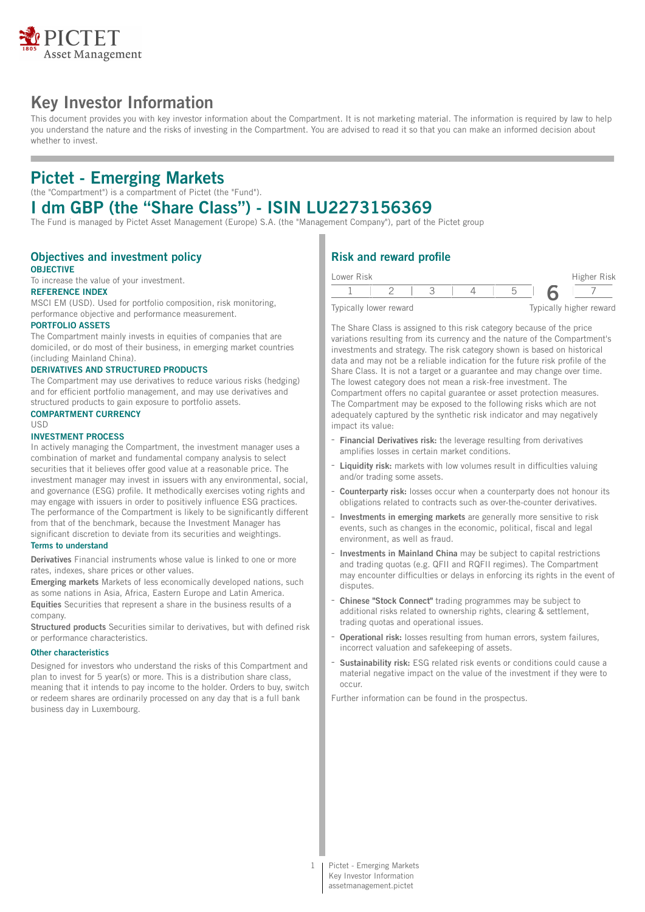

# **Key Investor Information**

This document provides you with key investor information about the Compartment. It is not marketing material. The information is required by law to help you understand the nature and the risks of investing in the Compartment. You are advised to read it so that you can make an informed decision about whether to invest.

## **Pictet - Emerging Markets**

(the "Compartment") is a compartment of Pictet (the "Fund").

# **I dm GBP (the "Share Class") - ISIN LU2273156369**

The Fund is managed by Pictet Asset Management (Europe) S.A. (the "Management Company"), part of the Pictet group

#### **Objectives and investment policy OBJECTIVE**

To increase the value of your investment.

## **REFERENCE INDEX**

MSCI EM (USD). Used for portfolio composition, risk monitoring, performance objective and performance measurement.

#### **PORTFOLIO ASSETS**

The Compartment mainly invests in equities of companies that are domiciled, or do most of their business, in emerging market countries (including Mainland China).

#### **DERIVATIVES AND STRUCTURED PRODUCTS**

The Compartment may use derivatives to reduce various risks (hedging) and for efficient portfolio management, and may use derivatives and structured products to gain exposure to portfolio assets.

## **COMPARTMENT CURRENCY**

## $IISD$

### **INVESTMENT PROCESS**

In actively managing the Compartment, the investment manager uses a combination of market and fundamental company analysis to select securities that it believes offer good value at a reasonable price. The investment manager may invest in issuers with any environmental, social, and governance (ESG) profile. It methodically exercises voting rights and may engage with issuers in order to positively influence ESG practices. The performance of the Compartment is likely to be significantly different from that of the benchmark, because the Investment Manager has significant discretion to deviate from its securities and weightings.

#### **Terms to understand**

**Derivatives** Financial instruments whose value is linked to one or more rates, indexes, share prices or other values.

**Emerging markets** Markets of less economically developed nations, such as some nations in Asia, Africa, Eastern Europe and Latin America. **Equities** Securities that represent a share in the business results of a company.

**Structured products** Securities similar to derivatives, but with defined risk or performance characteristics.

#### **Other characteristics**

Designed for investors who understand the risks of this Compartment and plan to invest for 5 year(s) or more. This is a distribution share class, meaning that it intends to pay income to the holder. Orders to buy, switch or redeem shares are ordinarily processed on any day that is a full bank business day in Luxembourg.

## **Risk and reward profile**

| Lower Risk |                        |  |  | Higher Risk             |
|------------|------------------------|--|--|-------------------------|
|            |                        |  |  |                         |
|            | Typically lower reward |  |  | Typically higher reward |

The Share Class is assigned to this risk category because of the price variations resulting from its currency and the nature of the Compartment's investments and strategy. The risk category shown is based on historical data and may not be a reliable indication for the future risk profile of the Share Class. It is not a target or a guarantee and may change over time. The lowest category does not mean a risk-free investment. The Compartment offers no capital guarantee or asset protection measures. The Compartment may be exposed to the following risks which are not adequately captured by the synthetic risk indicator and may negatively impact its value:

- **Financial Derivatives risk:** the leverage resulting from derivatives amplifies losses in certain market conditions.
- **Liquidity risk:** markets with low volumes result in difficulties valuing and/or trading some assets.
- **Counterparty risk:** losses occur when a counterparty does not honour its obligations related to contracts such as over-the-counter derivatives.
- **Investments in emerging markets** are generally more sensitive to risk events, such as changes in the economic, political, fiscal and legal environment, as well as fraud.
- **Investments in Mainland China** may be subject to capital restrictions and trading quotas (e.g. QFII and RQFII regimes). The Compartment may encounter difficulties or delays in enforcing its rights in the event of disputes.
- **Chinese "Stock Connect"** trading programmes may be subject to additional risks related to ownership rights, clearing & settlement, trading quotas and operational issues.
- **Operational risk:** losses resulting from human errors, system failures, incorrect valuation and safekeeping of assets.
- **Sustainability risk:** ESG related risk events or conditions could cause a material negative impact on the value of the investment if they were to occur.

Further information can be found in the prospectus.

1 Pictet - Emerging Markets